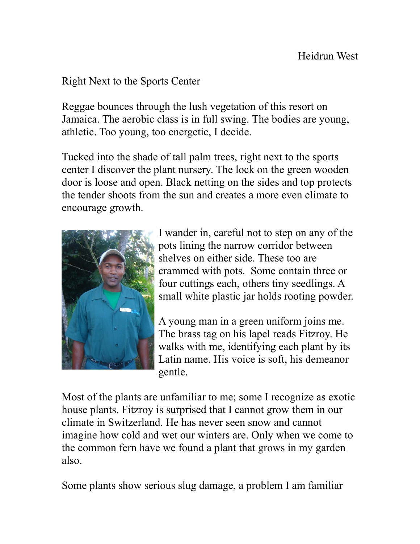## Right Next to the Sports Center

Reggae bounces through the lush vegetation of this resort on Jamaica. The aerobic class is in full swing. The bodies are young, athletic. Too young, too energetic, I decide.

Tucked into the shade of tall palm trees, right next to the sports center I discover the plant nursery. The lock on the green wooden door is loose and open. Black netting on the sides and top protects the tender shoots from the sun and creates a more even climate to encourage growth.



I wander in, careful not to step on any of the pots lining the narrow corridor between shelves on either side. These too are crammed with pots. Some contain three or four cuttings each, others tiny seedlings. A small white plastic jar holds rooting powder.

A young man in a green uniform joins me. The brass tag on his lapel reads Fitzroy. He walks with me, identifying each plant by its Latin name. His voice is soft, his demeanor gentle.

Most of the plants are unfamiliar to me; some I recognize as exotic house plants. Fitzroy is surprised that I cannot grow them in our climate in Switzerland. He has never seen snow and cannot imagine how cold and wet our winters are. Only when we come to the common fern have we found a plant that grows in my garden also.

Some plants show serious slug damage, a problem I am familiar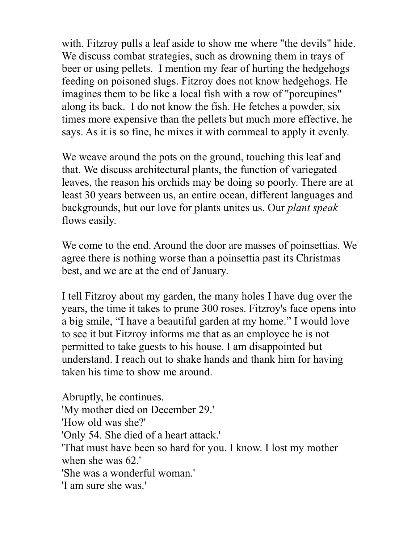with. Fitzroy pulls a leaf aside to show me where "the devils" hide. We discuss combat strategies, such as drowning them in trays of beer or using pellets. I mention my fear of hurting the hedgehogs feeding on poisoned slugs. Fitzroy does not know hedgehogs. He imagines them to be like a local fish with a row of "porcupines" along its back. I do not know the fish. He fetches a powder, six times more expensive than the pellets but much more effective, he says. As it is so fine, he mixes it with cornmeal to apply it evenly.

We weave around the pots on the ground, touching this leaf and that. We discuss architectural plants, the function of variegated leaves, the reason his orchids may be doing so poorly. There are at least 30 years between us, an entire ocean, different languages and backgrounds, but our love for plants unites us. Our *plant speak* flows easily.

We come to the end. Around the door are masses of poinsettias. We agree there is nothing worse than a poinsettia past its Christmas best, and we are at the end of January.

I tell Fitzroy about my garden, the many holes I have dug over the years, the time it takes to prune 300 roses. Fitzroy's face opens into a big smile, "I have a beautiful garden at my home." I would love to see it but Fitzroy informs me that as an employee he is not permitted to take guests to his house. I am disappointed but understand. I reach out to shake hands and thank him for having taken his time to show me around.

Abruptly, he continues. 'My mother died on December 29.' 'How old was she?' 'Only 54. She died of a heart attack.' 'That must have been so hard for you. I know. I lost my mother when she was 62.' 'She was a wonderful woman.' 'I am sure she was.'